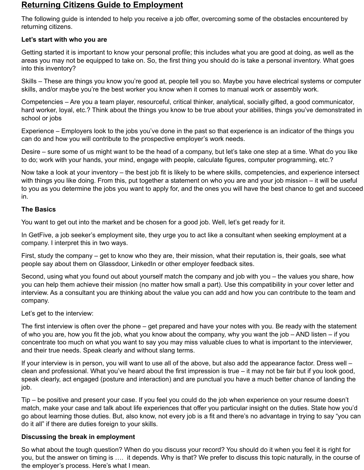# **Returning Citizens Guide to Employment**

The following guide is intended to help you receive a job offer, overcoming some of the obstacles encountered by returning citizens.

## **Let's start with who you are**

Getting started it is important to know your personal profile; this includes what you are good at doing, as well as the areas you may not be equipped to take on. So, the first thing you should do is take a personal inventory. What goes into this inventory?

Skills – These are things you know you're good at, people tell you so. Maybe you have electrical systems or computer skills, and/or maybe you're the best worker you know when it comes to manual work or assembly work.

Competencies – Are you a team player, resourceful, critical thinker, analytical, socially gifted, a good communicator, hard worker, loyal, etc.? Think about the things you know to be true about your abilities, things you've demonstrated in school or jobs

Experience – Employers look to the jobs you've done in the past so that experience is an indicator of the things you can do and how you will contribute to the prospective employer's work needs.

Desire – sure some of us might want to be the head of a company, but let's take one step at a time. What do you like to do; work with your hands, your mind, engage with people, calculate figures, computer programming, etc.?

Now take a look at your inventory – the best job fit is likely to be where skills, competencies, and experience intersect with things you like doing. From this, put together a statement on who you are and your job mission – it will be useful to you as you determine the jobs you want to apply for, and the ones you will have the best chance to get and succeed in.

### **The Basics**

You want to get out into the market and be chosen for a good job. Well, let's get ready for it.

In GetFive, a job seeker's employment site, they urge you to act like a consultant when seeking employment at a company. I interpret this in two ways.

First, study the company – get to know who they are, their mission, what their reputation is, their goals, see what people say about them on Glassdoor, LinkedIn or other employer feedback sites.

Second, using what you found out about yourself match the company and job with you – the values you share, how you can help them achieve their mission (no matter how small a part). Use this compatibility in your cover letter and interview. As a consultant you are thinking about the value you can add and how you can contribute to the team and company.

Let's get to the interview:

The first interview is often over the phone – get prepared and have your notes with you. Be ready with the statement of who you are, how you fit the job, what you know about the company, why you want the job – AND listen – if you concentrate too much on what you want to say you may miss valuable clues to what is important to the interviewer, and their true needs. Speak clearly and without slang terms.

If your interview is in person, you will want to use all of the above, but also add the appearance factor. Dress well – clean and professional. What you've heard about the first impression is true – it may not be fair but if you look good, speak clearly, act engaged (posture and interaction) and are punctual you have a much better chance of landing the job.

Tip – be positive and present your case. If you feel you could do the job when experience on your resume doesn't match, make your case and talk about life experiences that offer you particular insight on the duties. State how you'd go about learning those duties. But, also know, not every job is a fit and there's no advantage in trying to say "you can do it all" if there are duties foreign to your skills.

### **Discussing the break in employment**

So what about the tough question? When do you discuss your record? You should do it when you feel it is right for you, but the answer on timing is …. it depends. Why is that? We prefer to discuss this topic naturally, in the course of the employer's process. Here's what I mean.